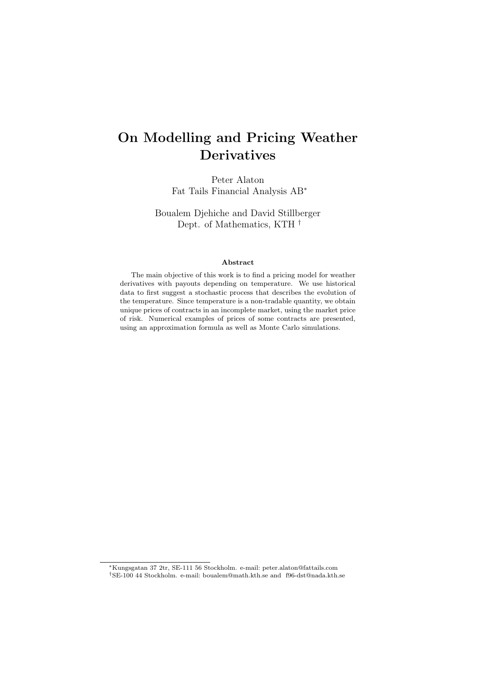# On Modelling and Pricing Weather **Derivatives**

Peter Alaton Fat Tails Financial Analysis AB<sup>∗</sup>

Boualem Djehiche and David Stillberger Dept. of Mathematics, KTH †

#### Abstract

The main objective of this work is to find a pricing model for weather derivatives with payouts depending on temperature. We use historical data to first suggest a stochastic process that describes the evolution of the temperature. Since temperature is a non-tradable quantity, we obtain unique prices of contracts in an incomplete market, using the market price of risk. Numerical examples of prices of some contracts are presented, using an approximation formula as well as Monte Carlo simulations.

<sup>∗</sup>Kungsgatan 37 2tr, SE-111 56 Stockholm. e-mail: peter.alaton@fattails.com †SE-100 44 Stockholm. e-mail: boualem@math.kth.se and f96-dst@nada.kth.se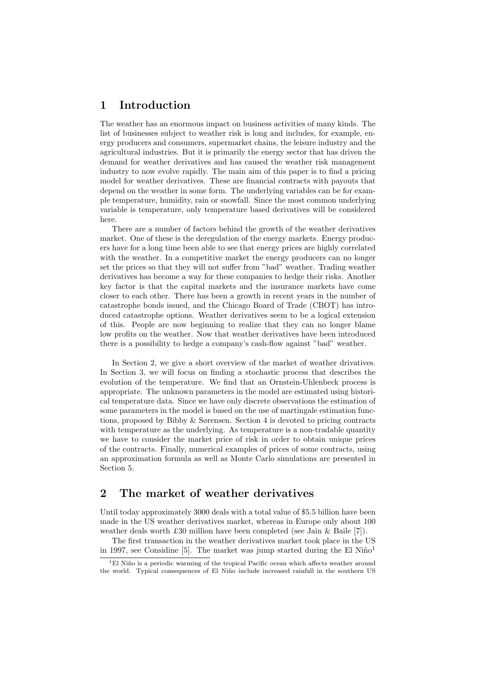# 1 Introduction

The weather has an enormous impact on business activities of many kinds. The list of businesses subject to weather risk is long and includes, for example, energy producers and consumers, supermarket chains, the leisure industry and the agricultural industries. But it is primarily the energy sector that has driven the demand for weather derivatives and has caused the weather risk management industry to now evolve rapidly. The main aim of this paper is to find a pricing model for weather derivatives. These are financial contracts with payouts that depend on the weather in some form. The underlying variables can be for example temperature, humidity, rain or snowfall. Since the most common underlying variable is temperature, only temperature based derivatives will be considered here.

There are a number of factors behind the growth of the weather derivatives market. One of these is the deregulation of the energy markets. Energy producers have for a long time been able to see that energy prices are highly correlated with the weather. In a competitive market the energy producers can no longer set the prices so that they will not suffer from "bad" weather. Trading weather derivatives has become a way for these companies to hedge their risks. Another key factor is that the capital markets and the insurance markets have come closer to each other. There has been a growth in recent years in the number of catastrophe bonds issued, and the Chicago Board of Trade (CBOT) has introduced catastrophe options. Weather derivatives seem to be a logical extension of this. People are now beginning to realize that they can no longer blame low profits on the weather. Now that weather derivatives have been introduced there is a possibility to hedge a company's cash-flow against "bad" weather.

In Section 2, we give a short overview of the market of weather drivatives. In Section 3, we will focus on finding a stochastic process that describes the evolution of the temperature. We find that an Ornstein-Uhlenbeck process is appropriate. The unknown parameters in the model are estimated using historical temperature data. Since we have only discrete observations the estimation of some parameters in the model is based on the use of martingale estimation functions, proposed by Bibby & Sørensen. Section 4 is devoted to pricing contracts with temperature as the underlying. As temperature is a non-tradable quantity we have to consider the market price of risk in order to obtain unique prices of the contracts. Finally, numerical examples of prices of some contracts, using an approximation formula as well as Monte Carlo simulations are presented in Section 5.

# 2 The market of weather derivatives

Until today approximately 3000 deals with a total value of \$5.5 billion have been made in the US weather derivatives market, whereas in Europe only about 100 weather deals worth £30 million have been completed (see Jain & Baile [7]).

The first transaction in the weather derivatives market took place in the US in 1997, see Considine [5]. The market was jump started during the El Niño<sup>1</sup>

 ${}^{1}$ El Niño is a periodic warming of the tropical Pacific ocean which affects weather around the world. Typical consequences of El Niño include increased rainfall in the southern US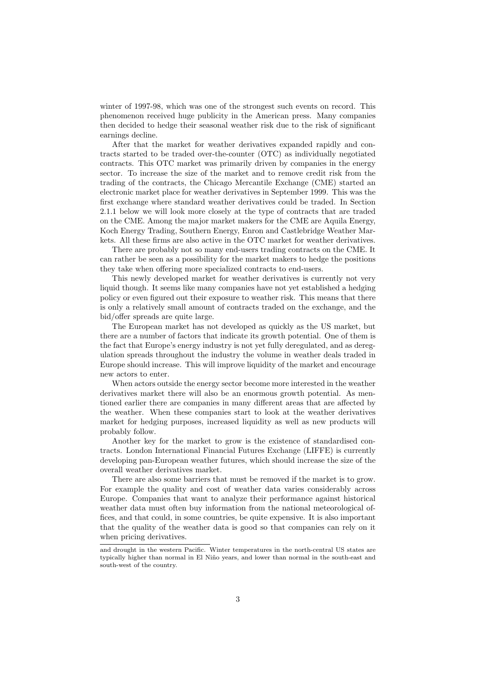winter of 1997-98, which was one of the strongest such events on record. This phenomenon received huge publicity in the American press. Many companies then decided to hedge their seasonal weather risk due to the risk of significant earnings decline.

After that the market for weather derivatives expanded rapidly and contracts started to be traded over-the-counter (OTC) as individually negotiated contracts. This OTC market was primarily driven by companies in the energy sector. To increase the size of the market and to remove credit risk from the trading of the contracts, the Chicago Mercantile Exchange (CME) started an electronic market place for weather derivatives in September 1999. This was the first exchange where standard weather derivatives could be traded. In Section 2.1.1 below we will look more closely at the type of contracts that are traded on the CME. Among the major market makers for the CME are Aquila Energy, Koch Energy Trading, Southern Energy, Enron and Castlebridge Weather Markets. All these firms are also active in the OTC market for weather derivatives.

There are probably not so many end-users trading contracts on the CME. It can rather be seen as a possibility for the market makers to hedge the positions they take when offering more specialized contracts to end-users.

This newly developed market for weather derivatives is currently not very liquid though. It seems like many companies have not yet established a hedging policy or even figured out their exposure to weather risk. This means that there is only a relatively small amount of contracts traded on the exchange, and the bid/offer spreads are quite large.

The European market has not developed as quickly as the US market, but there are a number of factors that indicate its growth potential. One of them is the fact that Europe's energy industry is not yet fully deregulated, and as deregulation spreads throughout the industry the volume in weather deals traded in Europe should increase. This will improve liquidity of the market and encourage new actors to enter.

When actors outside the energy sector become more interested in the weather derivatives market there will also be an enormous growth potential. As mentioned earlier there are companies in many different areas that are affected by the weather. When these companies start to look at the weather derivatives market for hedging purposes, increased liquidity as well as new products will probably follow.

Another key for the market to grow is the existence of standardised contracts. London International Financial Futures Exchange (LIFFE) is currently developing pan-European weather futures, which should increase the size of the overall weather derivatives market.

There are also some barriers that must be removed if the market is to grow. For example the quality and cost of weather data varies considerably across Europe. Companies that want to analyze their performance against historical weather data must often buy information from the national meteorological offices, and that could, in some countries, be quite expensive. It is also important that the quality of the weather data is good so that companies can rely on it when pricing derivatives.

and drought in the western Pacific. Winter temperatures in the north-central US states are typically higher than normal in El Niño years, and lower than normal in the south-east and south-west of the country.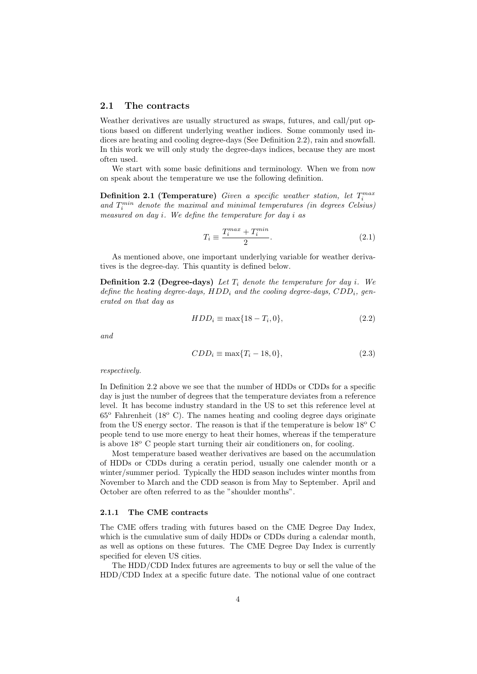#### 2.1 The contracts

Weather derivatives are usually structured as swaps, futures, and call/put options based on different underlying weather indices. Some commonly used indices are heating and cooling degree-days (See Definition 2.2), rain and snowfall. In this work we will only study the degree-days indices, because they are most often used.

We start with some basic definitions and terminology. When we from now on speak about the temperature we use the following definition.

**Definition 2.1 (Temperature)** Given a specific weather station, let  $T_i^{max}$ and  $T_i^{min}$  denote the maximal and minimal temperatures (in degrees Celsius) measured on day i. We define the temperature for day i as

$$
T_i \equiv \frac{T_i^{max} + T_i^{min}}{2}.\tag{2.1}
$$

As mentioned above, one important underlying variable for weather derivatives is the degree-day. This quantity is defined below.

**Definition 2.2 (Degree-days)** Let  $T_i$  denote the temperature for day i. We define the heating degree-days,  $HDD_i$  and the cooling degree-days,  $CDD_i$ , generated on that day as

$$
HDD_i \equiv \max\{18 - T_i, 0\},\tag{2.2}
$$

and

$$
CDD_i \equiv \max\{T_i - 18, 0\},\tag{2.3}
$$

respectively.

In Definition 2.2 above we see that the number of HDDs or CDDs for a specific day is just the number of degrees that the temperature deviates from a reference level. It has become industry standard in the US to set this reference level at  $65^{\circ}$  Fahrenheit (18 $^{\circ}$  C). The names heating and cooling degree days originate from the US energy sector. The reason is that if the temperature is below  $18^{\circ}$  C people tend to use more energy to heat their homes, whereas if the temperature is above  $18^{\circ}$  C people start turning their air conditioners on, for cooling.

Most temperature based weather derivatives are based on the accumulation of HDDs or CDDs during a ceratin period, usually one calender month or a winter/summer period. Typically the HDD season includes winter months from November to March and the CDD season is from May to September. April and October are often referred to as the "shoulder months".

### 2.1.1 The CME contracts

The CME offers trading with futures based on the CME Degree Day Index, which is the cumulative sum of daily HDDs or CDDs during a calendar month, as well as options on these futures. The CME Degree Day Index is currently specified for eleven US cities.

The HDD/CDD Index futures are agreements to buy or sell the value of the HDD/CDD Index at a specific future date. The notional value of one contract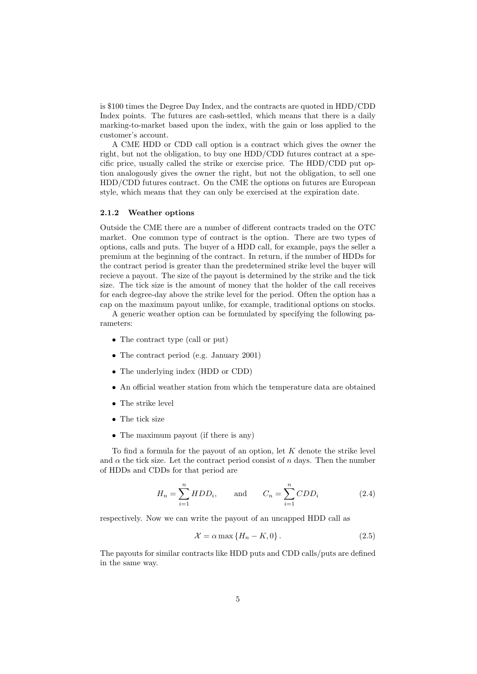is \$100 times the Degree Day Index, and the contracts are quoted in HDD/CDD Index points. The futures are cash-settled, which means that there is a daily marking-to-market based upon the index, with the gain or loss applied to the customer's account.

A CME HDD or CDD call option is a contract which gives the owner the right, but not the obligation, to buy one HDD/CDD futures contract at a specific price, usually called the strike or exercise price. The HDD/CDD put option analogously gives the owner the right, but not the obligation, to sell one HDD/CDD futures contract. On the CME the options on futures are European style, which means that they can only be exercised at the expiration date.

#### 2.1.2 Weather options

Outside the CME there are a number of different contracts traded on the OTC market. One common type of contract is the option. There are two types of options, calls and puts. The buyer of a HDD call, for example, pays the seller a premium at the beginning of the contract. In return, if the number of HDDs for the contract period is greater than the predetermined strike level the buyer will recieve a payout. The size of the payout is determined by the strike and the tick size. The tick size is the amount of money that the holder of the call receives for each degree-day above the strike level for the period. Often the option has a cap on the maximum payout unlike, for example, traditional options on stocks.

A generic weather option can be formulated by specifying the following parameters:

- The contract type (call or put)
- The contract period (e.g. January 2001)
- The underlying index (HDD or CDD)
- An official weather station from which the temperature data are obtained
- The strike level
- The tick size
- The maximum payout (if there is any)

To find a formula for the payout of an option, let  $K$  denote the strike level and  $\alpha$  the tick size. Let the contract period consist of n days. Then the number of HDDs and CDDs for that period are

$$
H_n = \sum_{i=1}^n HDD_i, \quad \text{and} \quad C_n = \sum_{i=1}^n CDD_i \tag{2.4}
$$

respectively. Now we can write the payout of an uncapped HDD call as

$$
\mathcal{X} = \alpha \max \{ H_n - K, 0 \}.
$$
 (2.5)

The payouts for similar contracts like HDD puts and CDD calls/puts are defined in the same way.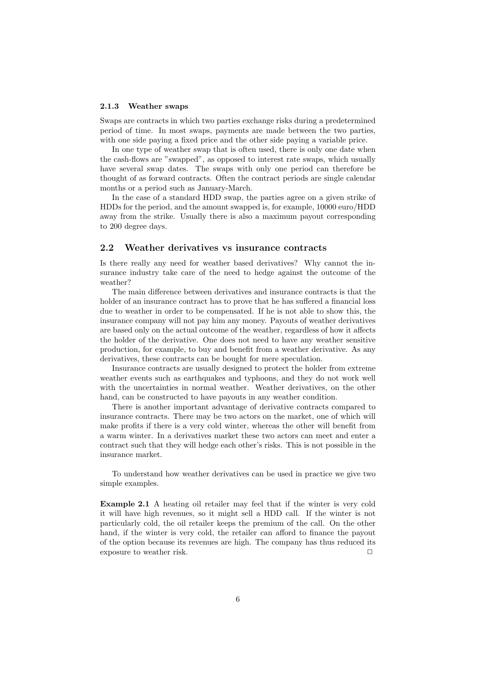### 2.1.3 Weather swaps

Swaps are contracts in which two parties exchange risks during a predetermined period of time. In most swaps, payments are made between the two parties, with one side paying a fixed price and the other side paying a variable price.

In one type of weather swap that is often used, there is only one date when the cash-flows are "swapped", as opposed to interest rate swaps, which usually have several swap dates. The swaps with only one period can therefore be thought of as forward contracts. Often the contract periods are single calendar months or a period such as January-March.

In the case of a standard HDD swap, the parties agree on a given strike of HDDs for the period, and the amount swapped is, for example, 10000 euro/HDD away from the strike. Usually there is also a maximum payout corresponding to 200 degree days.

### 2.2 Weather derivatives vs insurance contracts

Is there really any need for weather based derivatives? Why cannot the insurance industry take care of the need to hedge against the outcome of the weather?

The main difference between derivatives and insurance contracts is that the holder of an insurance contract has to prove that he has suffered a financial loss due to weather in order to be compensated. If he is not able to show this, the insurance company will not pay him any money. Payouts of weather derivatives are based only on the actual outcome of the weather, regardless of how it affects the holder of the derivative. One does not need to have any weather sensitive production, for example, to buy and benefit from a weather derivative. As any derivatives, these contracts can be bought for mere speculation.

Insurance contracts are usually designed to protect the holder from extreme weather events such as earthquakes and typhoons, and they do not work well with the uncertainties in normal weather. Weather derivatives, on the other hand, can be constructed to have payouts in any weather condition.

There is another important advantage of derivative contracts compared to insurance contracts. There may be two actors on the market, one of which will make profits if there is a very cold winter, whereas the other will benefit from a warm winter. In a derivatives market these two actors can meet and enter a contract such that they will hedge each other's risks. This is not possible in the insurance market.

To understand how weather derivatives can be used in practice we give two simple examples.

Example 2.1 A heating oil retailer may feel that if the winter is very cold it will have high revenues, so it might sell a HDD call. If the winter is not particularly cold, the oil retailer keeps the premium of the call. On the other hand, if the winter is very cold, the retailer can afford to finance the payout of the option because its revenues are high. The company has thus reduced its exposure to weather risk.  $\Box$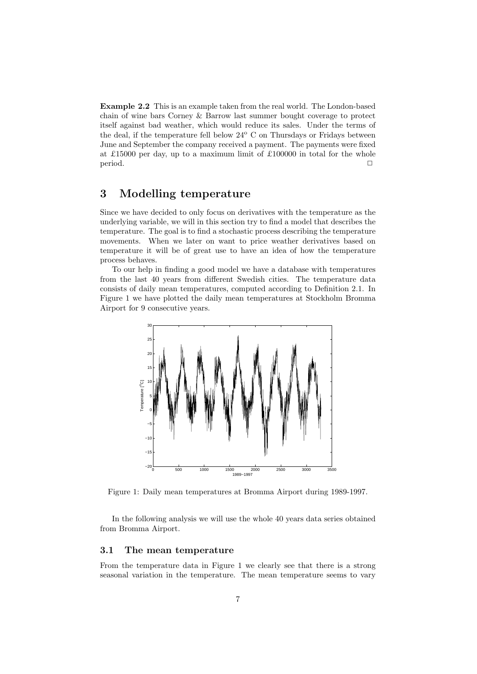Example 2.2 This is an example taken from the real world. The London-based chain of wine bars Corney & Barrow last summer bought coverage to protect itself against bad weather, which would reduce its sales. Under the terms of the deal, if the temperature fell below  $24^{\circ}$  C on Thursdays or Fridays between June and September the company received a payment. The payments were fixed at £15000 per day, up to a maximum limit of £100000 in total for the whole period.  $\Box$ 

# 3 Modelling temperature

Since we have decided to only focus on derivatives with the temperature as the underlying variable, we will in this section try to find a model that describes the temperature. The goal is to find a stochastic process describing the temperature movements. When we later on want to price weather derivatives based on temperature it will be of great use to have an idea of how the temperature process behaves.

To our help in finding a good model we have a database with temperatures from the last 40 years from different Swedish cities. The temperature data consists of daily mean temperatures, computed according to Definition 2.1. In Figure 1 we have plotted the daily mean temperatures at Stockholm Bromma Airport for 9 consecutive years.



Figure 1: Daily mean temperatures at Bromma Airport during 1989-1997.

In the following analysis we will use the whole 40 years data series obtained from Bromma Airport.

### 3.1 The mean temperature

From the temperature data in Figure 1 we clearly see that there is a strong seasonal variation in the temperature. The mean temperature seems to vary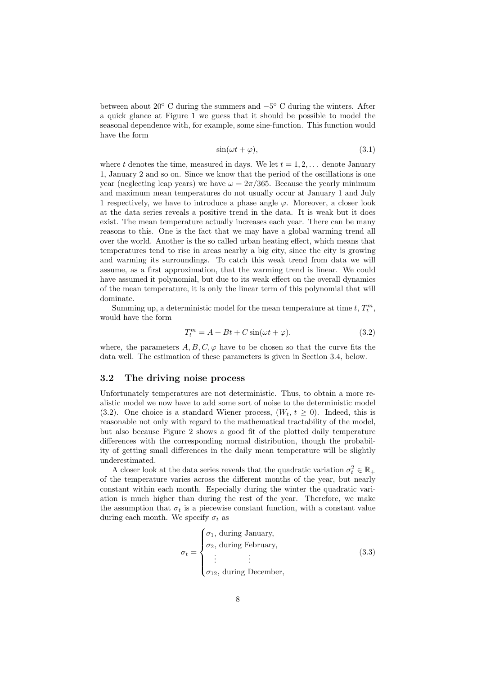between about  $20^{\circ}$  C during the summers and  $-5^{\circ}$  C during the winters. After a quick glance at Figure 1 we guess that it should be possible to model the seasonal dependence with, for example, some sine-function. This function would have the form

$$
\sin(\omega t + \varphi),\tag{3.1}
$$

where t denotes the time, measured in days. We let  $t = 1, 2, \ldots$  denote January 1, January 2 and so on. Since we know that the period of the oscillations is one year (neglecting leap years) we have  $\omega = 2\pi/365$ . Because the yearly minimum and maximum mean temperatures do not usually occur at January 1 and July 1 respectively, we have to introduce a phase angle  $\varphi$ . Moreover, a closer look at the data series reveals a positive trend in the data. It is weak but it does exist. The mean temperature actually increases each year. There can be many reasons to this. One is the fact that we may have a global warming trend all over the world. Another is the so called urban heating effect, which means that temperatures tend to rise in areas nearby a big city, since the city is growing and warming its surroundings. To catch this weak trend from data we will assume, as a first approximation, that the warming trend is linear. We could have assumed it polynomial, but due to its weak effect on the overall dynamics of the mean temperature, it is only the linear term of this polynomial that will dominate.

Summing up, a deterministic model for the mean temperature at time  $t, T_t^m$ , would have the form

$$
T_t^m = A + Bt + C\sin(\omega t + \varphi). \tag{3.2}
$$

where, the parameters  $A, B, C, \varphi$  have to be chosen so that the curve fits the data well. The estimation of these parameters is given in Section 3.4, below.

### 3.2 The driving noise process

Unfortunately temperatures are not deterministic. Thus, to obtain a more realistic model we now have to add some sort of noise to the deterministic model (3.2). One choice is a standard Wiener process,  $(W_t, t \geq 0)$ . Indeed, this is reasonable not only with regard to the mathematical tractability of the model, but also because Figure 2 shows a good fit of the plotted daily temperature differences with the corresponding normal distribution, though the probability of getting small differences in the daily mean temperature will be slightly underestimated.

A closer look at the data series reveals that the quadratic variation  $\sigma_t^2 \in \mathbb{R}_+$ of the temperature varies across the different months of the year, but nearly constant within each month. Especially during the winter the quadratic variation is much higher than during the rest of the year. Therefore, we make the assumption that  $\sigma_t$  is a piecewise constant function, with a constant value during each month. We specify  $\sigma_t$  as  $\overline{a}$ 

$$
\sigma_t = \begin{cases}\n\sigma_1, \text{ during January,} \\
\sigma_2, \text{ during February,} \\
\vdots \\
\sigma_{12}, \text{ during December,}\n\end{cases}
$$
\n(3.3)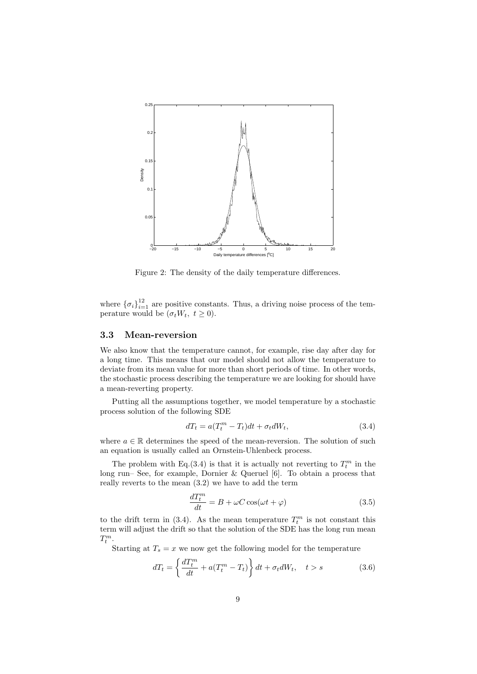

Figure 2: The density of the daily temperature differences.

where  ${\{\sigma_i\}}_{i=1}^{12}$  are positive constants. Thus, a driving noise process of the temperature would be  $(\sigma_t W_t, t \geq 0)$ .

#### 3.3 Mean-reversion

We also know that the temperature cannot, for example, rise day after day for a long time. This means that our model should not allow the temperature to deviate from its mean value for more than short periods of time. In other words, the stochastic process describing the temperature we are looking for should have a mean-reverting property.

Putting all the assumptions together, we model temperature by a stochastic process solution of the following SDE

$$
dT_t = a(T_t^m - T_t)dt + \sigma_t dW_t, \qquad (3.4)
$$

where  $a \in \mathbb{R}$  determines the speed of the mean-reversion. The solution of such an equation is usually called an Ornstein-Uhlenbeck process.

The problem with Eq.(3.4) is that it is actually not reverting to  $T_t^m$  in the long run– See, for example, Dornier & Queruel [6]. To obtain a process that really reverts to the mean (3.2) we have to add the term

$$
\frac{dT_t^m}{dt} = B + \omega C \cos(\omega t + \varphi) \tag{3.5}
$$

to the drift term in (3.4). As the mean temperature  $T_t^m$  is not constant this term will adjust the drift so that the solution of the SDE has the long run mean  $T_t^m$ .

Starting at  $T_s = x$  we now get the following model for the temperature

$$
dT_t = \left\{ \frac{dT_t^m}{dt} + a(T_t^m - T_t) \right\} dt + \sigma_t dW_t, \quad t > s \tag{3.6}
$$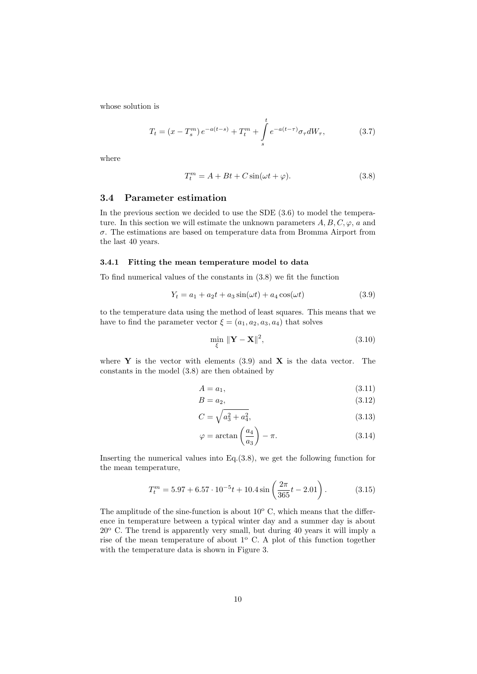whose solution is

$$
T_t = (x - T_s^m) e^{-a(t-s)} + T_t^m + \int_s^t e^{-a(t-\tau)} \sigma_\tau dW_\tau, \tag{3.7}
$$

where

$$
T_t^m = A + Bt + C\sin(\omega t + \varphi). \tag{3.8}
$$

### 3.4 Parameter estimation

In the previous section we decided to use the SDE (3.6) to model the temperature. In this section we will estimate the unknown parameters  $A, B, C, \varphi$ , a and σ. The estimations are based on temperature data from Bromma Airport from the last 40 years.

#### 3.4.1 Fitting the mean temperature model to data

To find numerical values of the constants in (3.8) we fit the function

$$
Y_t = a_1 + a_2t + a_3\sin(\omega t) + a_4\cos(\omega t)
$$
 (3.9)

to the temperature data using the method of least squares. This means that we have to find the parameter vector  $\xi = (a_1, a_2, a_3, a_4)$  that solves

$$
\min_{\xi} \|\mathbf{Y} - \mathbf{X}\|^2, \tag{3.10}
$$

where Y is the vector with elements  $(3.9)$  and X is the data vector. The constants in the model (3.8) are then obtained by

$$
A = a_1,\tag{3.11}
$$

$$
B = a_2,\tag{3.12}
$$

$$
C = \sqrt{a_3^2 + a_4^2},\tag{3.13}
$$

$$
\varphi = \arctan\left(\frac{a_4}{a_3}\right) - \pi.
$$
\n(3.14)

Inserting the numerical values into Eq.(3.8), we get the following function for the mean temperature,

$$
T_t^m = 5.97 + 6.57 \cdot 10^{-5} t + 10.4 \sin\left(\frac{2\pi}{365}t - 2.01\right). \tag{3.15}
$$

The amplitude of the sine-function is about  $10^{\circ}$  C, which means that the difference in temperature between a typical winter day and a summer day is about  $20^{\circ}$  C. The trend is apparently very small, but during 40 years it will imply a rise of the mean temperature of about  $1^{\circ}$  C. A plot of this function together with the temperature data is shown in Figure 3.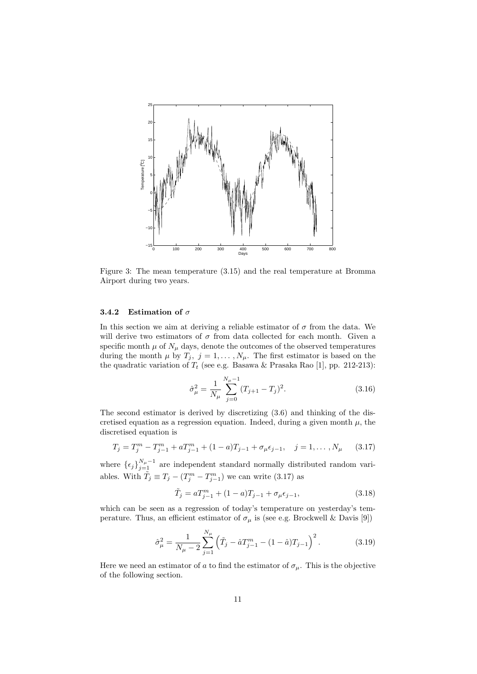

Figure 3: The mean temperature (3.15) and the real temperature at Bromma Airport during two years.

### 3.4.2 Estimation of  $\sigma$

In this section we aim at deriving a reliable estimator of  $\sigma$  from the data. We will derive two estimators of  $\sigma$  from data collected for each month. Given a specific month  $\mu$  of  $N_{\mu}$  days, denote the outcomes of the observed temperatures during the month  $\mu$  by  $T_j$ ,  $j = 1, ..., N_{\mu}$ . The first estimator is based on the the quadratic variation of  $T_t$  (see e.g. Basawa & Prasaka Rao [1], pp. 212-213):

$$
\hat{\sigma}_{\mu}^{2} = \frac{1}{N_{\mu}} \sum_{j=0}^{N_{\mu}-1} (T_{j+1} - T_{j})^{2}.
$$
\n(3.16)

The second estimator is derived by discretizing (3.6) and thinking of the discretised equation as a regression equation. Indeed, during a given month  $\mu$ , the discretised equation is

$$
T_j = T_j^m - T_{j-1}^m + aT_{j-1}^m + (1 - a)T_{j-1} + \sigma_\mu \epsilon_{j-1}, \quad j = 1, \dots, N_\mu \qquad (3.17)
$$

where  $\{\epsilon_j\}_{j=1}^{N_\mu-1}$  are independent standard normally distributed random variables. With  $\tilde{T}_j \equiv T_j - (T_j^m - T_{j-1}^m)$  we can write (3.17) as

$$
\tilde{T}_j = aT_{j-1}^m + (1 - a)T_{j-1} + \sigma_\mu \epsilon_{j-1},
$$
\n(3.18)

which can be seen as a regression of today's temperature on yesterday's temperature. Thus, an efficient estimator of  $\sigma_{\mu}$  is (see e.g. Brockwell & Davis [9])

$$
\hat{\sigma}_{\mu}^{2} = \frac{1}{N_{\mu} - 2} \sum_{j=1}^{N_{\mu}} \left( \tilde{T}_{j} - \hat{a} T_{j-1}^{m} - (1 - \hat{a}) T_{j-1} \right)^{2}.
$$
 (3.19)

Here we need an estimator of a to find the estimator of  $\sigma_{\mu}$ . This is the objective of the following section.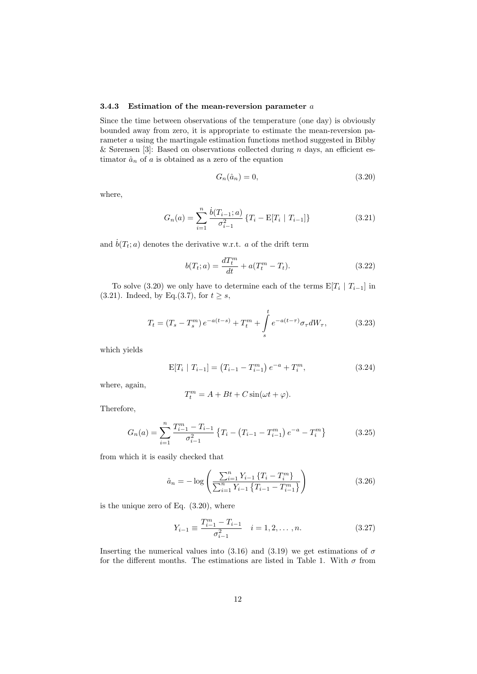## 3.4.3 Estimation of the mean-reversion parameter  $a$

Since the time between observations of the temperature (one day) is obviously bounded away from zero, it is appropriate to estimate the mean-reversion parameter a using the martingale estimation functions method suggested in Bibby & Sørensen [3]: Based on observations collected during  $n$  days, an efficient estimator  $\hat{a}_n$  of a is obtained as a zero of the equation

$$
G_n(\hat{a}_n) = 0,\t\t(3.20)
$$

where,

$$
G_n(a) = \sum_{i=1}^n \frac{\dot{b}(T_{i-1}; a)}{\sigma_{i-1}^2} \{T_i - \mathbb{E}[T_i \mid T_{i-1}]\}
$$
(3.21)

and  $\dot{b}(T_t; a)$  denotes the derivative w.r.t. a of the drift term

$$
b(T_t; a) = \frac{dT_t^m}{dt} + a(T_t^m - T_t).
$$
 (3.22)

To solve (3.20) we only have to determine each of the terms  $E[T_i | T_{i-1}]$  in (3.21). Indeed, by Eq.(3.7), for  $t \geq s$ ,

$$
T_t = (T_s - T_s^m) e^{-a(t-s)} + T_t^m + \int_s^t e^{-a(t-\tau)} \sigma_\tau dW_\tau, \tag{3.23}
$$

which yields

$$
E[T_i | T_{i-1}] = (T_{i-1} - T_{i-1}^m) e^{-a} + T_i^m,
$$
\n(3.24)

where, again,

$$
T_t^m = A + Bt + C\sin(\omega t + \varphi).
$$

Therefore,

$$
G_n(a) = \sum_{i=1}^n \frac{T_{i-1}^m - T_{i-1}}{\sigma_{i-1}^2} \left\{ T_i - \left( T_{i-1} - T_{i-1}^m \right) e^{-a} - T_i^m \right\}
$$
(3.25)

from which it is easily checked that

$$
\hat{a}_n = -\log\left(\frac{\sum_{i=1}^n Y_{i-1} \{T_i - T_i^m\}}{\sum_{i=1}^n Y_{i-1} \{T_{i-1} - T_{i-1}^m\}}\right)
$$
\n(3.26)

is the unique zero of Eq. (3.20), where

$$
Y_{i-1} \equiv \frac{T_{i-1}^m - T_{i-1}}{\sigma_{i-1}^2} \quad i = 1, 2, \dots, n. \tag{3.27}
$$

Inserting the numerical values into (3.16) and (3.19) we get estimations of  $\sigma$ for the different months. The estimations are listed in Table 1. With  $\sigma$  from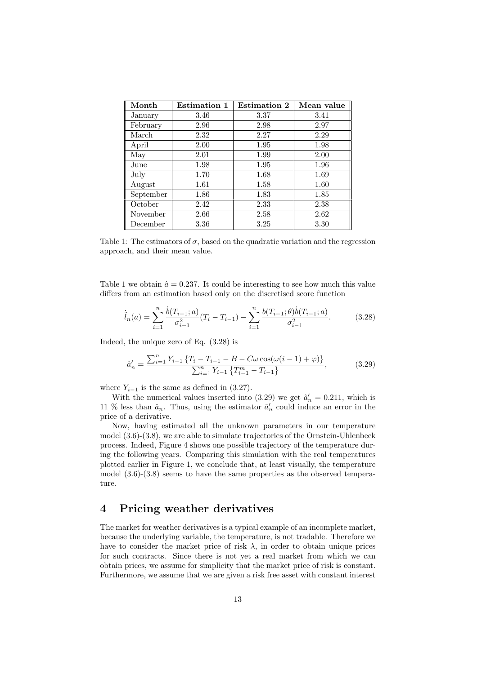| Month     | <b>Estimation 1</b> | <b>Estimation 2</b> | Mean value |
|-----------|---------------------|---------------------|------------|
| January   | 3.46                | 3.37                | 3.41       |
| February  | 2.96                | 2.98                | 2.97       |
| March     | 2.32                | 2.27                | 2.29       |
| April     | 2.00                | 1.95                | 1.98       |
| May       | 2.01                | 1.99                | 2.00       |
| June      | 1.98                | 1.95                | 1.96       |
| July      | 1.70                | 1.68                | 1.69       |
| August    | 1.61                | 1.58                | 1.60       |
| September | 1.86                | 1.83                | 1.85       |
| October   | 2.42                | 2.33                | 2.38       |
| November  | 2.66                | 2.58                | 2.62       |
| December  | 3.36                | 3.25                | 3.30       |

Table 1: The estimators of  $\sigma$ , based on the quadratic variation and the regression approach, and their mean value.

Table 1 we obtain  $\hat{a} = 0.237$ . It could be interesting to see how much this value differs from an estimation based only on the discretised score function

$$
\dot{\tilde{l}}_n(a) = \sum_{i=1}^n \frac{\dot{b}(T_{i-1};a)}{\sigma_{i-1}^2} (T_i - T_{i-1}) - \sum_{i=1}^n \frac{b(T_{i-1};\theta)\dot{b}(T_{i-1};a)}{\sigma_{i-1}^2}.
$$
 (3.28)

Indeed, the unique zero of Eq. (3.28) is

$$
\hat{a}'_n = \frac{\sum_{i=1}^n Y_{i-1} \{ T_i - T_{i-1} - B - C\omega \cos(\omega(i-1) + \varphi) \}}{\sum_{i=1}^n Y_{i-1} \{ T_{i-1}^m - T_{i-1} \}},
$$
(3.29)

where  $Y_{i-1}$  is the same as defined in (3.27).

With the numerical values inserted into (3.29) we get  $\hat{a}'_n = 0.211$ , which is 11 % less than  $\hat{a}_n$ . Thus, using the estimator  $\hat{a}'_n$  could induce an error in the price of a derivative.

Now, having estimated all the unknown parameters in our temperature model (3.6)-(3.8), we are able to simulate trajectories of the Ornstein-Uhlenbeck process. Indeed, Figure 4 shows one possible trajectory of the temperature during the following years. Comparing this simulation with the real temperatures plotted earlier in Figure 1, we conclude that, at least visually, the temperature model (3.6)-(3.8) seems to have the same properties as the observed temperature.

# 4 Pricing weather derivatives

The market for weather derivatives is a typical example of an incomplete market, because the underlying variable, the temperature, is not tradable. Therefore we have to consider the market price of risk  $\lambda$ , in order to obtain unique prices for such contracts. Since there is not yet a real market from which we can obtain prices, we assume for simplicity that the market price of risk is constant. Furthermore, we assume that we are given a risk free asset with constant interest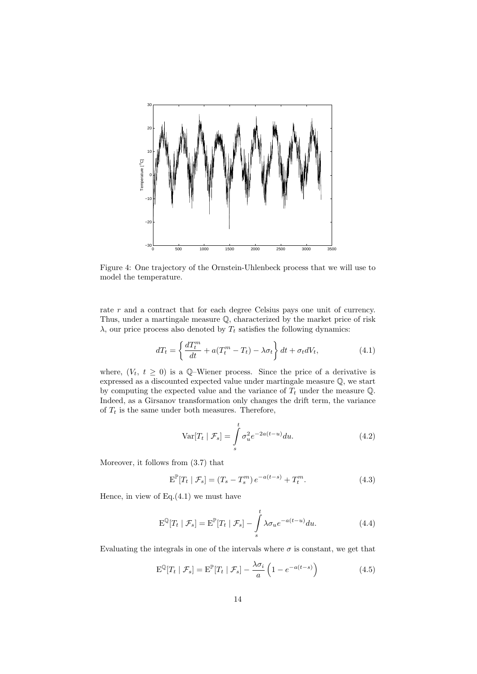

Figure 4: One trajectory of the Ornstein-Uhlenbeck process that we will use to model the temperature.

rate r and a contract that for each degree Celsius pays one unit of currency. Thus, under a martingale measure Q, characterized by the market price of risk  $\lambda$ , our price process also denoted by  $T_t$  satisfies the following dynamics:

$$
dT_t = \left\{ \frac{dT_t^m}{dt} + a(T_t^m - T_t) - \lambda \sigma_t \right\} dt + \sigma_t dV_t, \tag{4.1}
$$

where,  $(V_t, t \geq 0)$  is a Q-Wiener process. Since the price of a derivative is expressed as a discounted expected value under martingale measure Q, we start by computing the expected value and the variance of  $T_t$  under the measure  $\mathbb Q$ . Indeed, as a Girsanov transformation only changes the drift term, the variance of  $T_t$  is the same under both measures. Therefore,

$$
\text{Var}[T_t \mid \mathcal{F}_s] = \int_s^t \sigma_u^2 e^{-2a(t-u)} du. \tag{4.2}
$$

Moreover, it follows from (3.7) that

$$
\mathbf{E}^{\mathbb{P}}[T_t | \mathcal{F}_s] = (T_s - T_s^m) e^{-a(t-s)} + T_t^m.
$$
 (4.3)

Hence, in view of  $Eq.(4.1)$  we must have

$$
\mathcal{E}^{\mathbb{Q}}[T_t | \mathcal{F}_s] = \mathcal{E}^{\mathbb{P}}[T_t | \mathcal{F}_s] - \int_s^t \lambda \sigma_u e^{-a(t-u)} du.
$$
 (4.4)

Evaluating the integrals in one of the intervals where  $\sigma$  is constant, we get that

$$
\mathcal{E}^{\mathbb{Q}}[T_t | \mathcal{F}_s] = \mathcal{E}^{\mathbb{P}}[T_t | \mathcal{F}_s] - \frac{\lambda \sigma_i}{a} \left(1 - e^{-a(t-s)}\right)
$$
(4.5)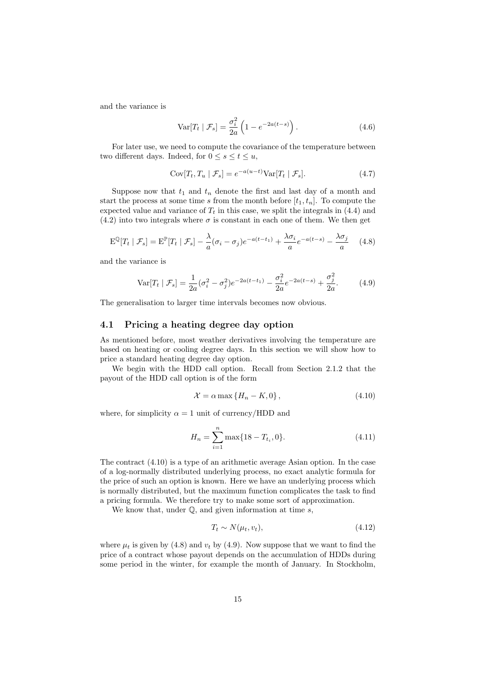and the variance is

$$
\text{Var}[T_t \mid \mathcal{F}_s] = \frac{\sigma_i^2}{2a} \left( 1 - e^{-2a(t-s)} \right). \tag{4.6}
$$

For later use, we need to compute the covariance of the temperature between two different days. Indeed, for  $0 \leq s \leq t \leq u$ ,

$$
Cov[T_t, T_u | \mathcal{F}_s] = e^{-a(u-t)} Var[T_t | \mathcal{F}_s].
$$
\n(4.7)

Suppose now that  $t_1$  and  $t_n$  denote the first and last day of a month and start the process at some time s from the month before  $[t_1, t_n]$ . To compute the expected value and variance of  $T_t$  in this case, we split the integrals in  $(4.4)$  and  $(4.2)$  into two integrals where  $\sigma$  is constant in each one of them. We then get

$$
\mathcal{E}^{\mathbb{Q}}[T_t | \mathcal{F}_s] = \mathcal{E}^{\mathbb{P}}[T_t | \mathcal{F}_s] - \frac{\lambda}{a}(\sigma_i - \sigma_j)e^{-a(t-t_1)} + \frac{\lambda \sigma_i}{a}e^{-a(t-s)} - \frac{\lambda \sigma_j}{a} \tag{4.8}
$$

and the variance is

$$
\text{Var}[T_t \mid \mathcal{F}_s] = \frac{1}{2a} (\sigma_i^2 - \sigma_j^2) e^{-2a(t-t_1)} - \frac{\sigma_i^2}{2a} e^{-2a(t-s)} + \frac{\sigma_j^2}{2a}.
$$
 (4.9)

The generalisation to larger time intervals becomes now obvious.

### 4.1 Pricing a heating degree day option

As mentioned before, most weather derivatives involving the temperature are based on heating or cooling degree days. In this section we will show how to price a standard heating degree day option.

We begin with the HDD call option. Recall from Section 2.1.2 that the payout of the HDD call option is of the form

$$
\mathcal{X} = \alpha \max \{ H_n - K, 0 \},\tag{4.10}
$$

where, for simplicity  $\alpha = 1$  unit of currency/HDD and

$$
H_n = \sum_{i=1}^{n} \max\{18 - T_{t_i}, 0\}.
$$
\n(4.11)

The contract (4.10) is a type of an arithmetic average Asian option. In the case of a log-normally distributed underlying process, no exact analytic formula for the price of such an option is known. Here we have an underlying process which is normally distributed, but the maximum function complicates the task to find a pricing formula. We therefore try to make some sort of approximation.

We know that, under  $\mathbb{Q}$ , and given information at time  $s$ ,

$$
T_t \sim N(\mu_t, v_t),\tag{4.12}
$$

where  $\mu_t$  is given by (4.8) and  $v_t$  by (4.9). Now suppose that we want to find the price of a contract whose payout depends on the accumulation of HDDs during some period in the winter, for example the month of January. In Stockholm,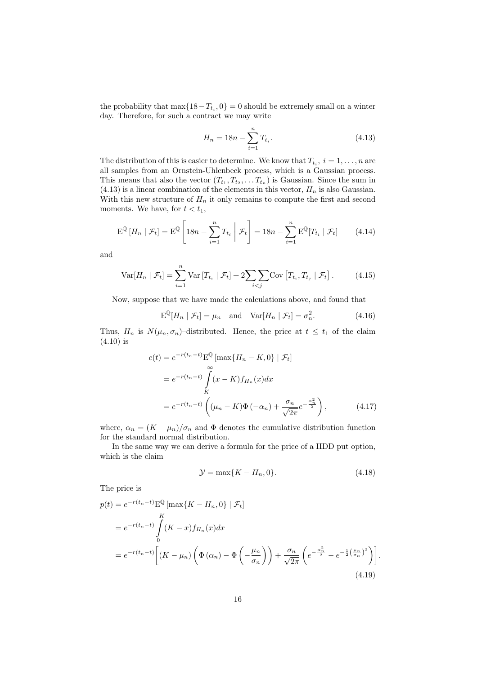the probability that  $\max\{18 - T_{t_i}, 0\} = 0$  should be extremely small on a winter day. Therefore, for such a contract we may write

$$
H_n = 18n - \sum_{i=1}^{n} T_{t_i}.
$$
\n(4.13)

The distribution of this is easier to determine. We know that  $T_{t_i}$ ,  $i = 1, \ldots, n$  are all samples from an Ornstein-Uhlenbeck process, which is a Gaussian process. This means that also the vector  $(T_{t_1}, T_{t_2}, \ldots, T_{t_n})$  is Gaussian. Since the sum in  $(4.13)$  is a linear combination of the elements in this vector,  $H_n$  is also Gaussian. With this new structure of  $H_n$  it only remains to compute the first and second moments. We have, for  $t < t_1$ ,

$$
\mathcal{E}^{\mathbb{Q}}\left[H_n \mid \mathcal{F}_t\right] = \mathcal{E}^{\mathbb{Q}}\left[18n - \sum_{i=1}^n T_{t_i} \mid \mathcal{F}_t\right] = 18n - \sum_{i=1}^n \mathcal{E}^{\mathbb{Q}}[T_{t_i} \mid \mathcal{F}_t] \tag{4.14}
$$

and

$$
\text{Var}[H_n \mid \mathcal{F}_t] = \sum_{i=1}^n \text{Var}\left[T_{t_i} \mid \mathcal{F}_t\right] + 2 \sum_{i < j} \sum \text{Cov}\left[T_{t_i}, T_{t_j} \mid \mathcal{F}_t\right].\tag{4.15}
$$

Now, suppose that we have made the calculations above, and found that

$$
\mathcal{E}^{\mathbb{Q}}[H_n \mid \mathcal{F}_t] = \mu_n \quad \text{and} \quad \text{Var}[H_n \mid \mathcal{F}_t] = \sigma_n^2. \tag{4.16}
$$

Thus,  $H_n$  is  $N(\mu_n, \sigma_n)$ -distributed. Hence, the price at  $t \leq t_1$  of the claim (4.10) is

$$
c(t) = e^{-r(t_n - t)} \mathbb{E}^{\mathbb{Q}} \left[ \max\{H_n - K, 0\} \mid \mathcal{F}_t \right]
$$
  
\n
$$
= e^{-r(t_n - t)} \int_K^{\infty} (x - K) f_{H_n}(x) dx
$$
  
\n
$$
= e^{-r(t_n - t)} \left( (\mu_n - K) \Phi(-\alpha_n) + \frac{\sigma_n}{\sqrt{2\pi}} e^{-\frac{\alpha_n^2}{2}} \right), \qquad (4.17)
$$

where,  $\alpha_n = (K - \mu_n)/\sigma_n$  and  $\Phi$  denotes the cumulative distribution function for the standard normal distribution.

In the same way we can derive a formula for the price of a HDD put option, which is the claim

$$
\mathcal{Y} = \max\{K - H_n, 0\}.\tag{4.18}
$$

.

The price is

$$
p(t) = e^{-r(t_n - t)} \mathbf{E}^{\mathbb{Q}} \left[ \max\{K - H_n, 0\} \mid \mathcal{F}_t \right]
$$
  
\n
$$
= e^{-r(t_n - t)} \int_{0}^{K} (K - x) f_{H_n}(x) dx
$$
  
\n
$$
= e^{-r(t_n - t)} \left[ (K - \mu_n) \left( \Phi(\alpha_n) - \Phi\left(-\frac{\mu_n}{\sigma_n}\right) \right) + \frac{\sigma_n}{\sqrt{2\pi}} \left( e^{-\frac{\alpha_n^2}{2}} - e^{-\frac{1}{2}\left(\frac{\mu_n}{\sigma_n}\right)^2} \right) \right]
$$
\n(4.19)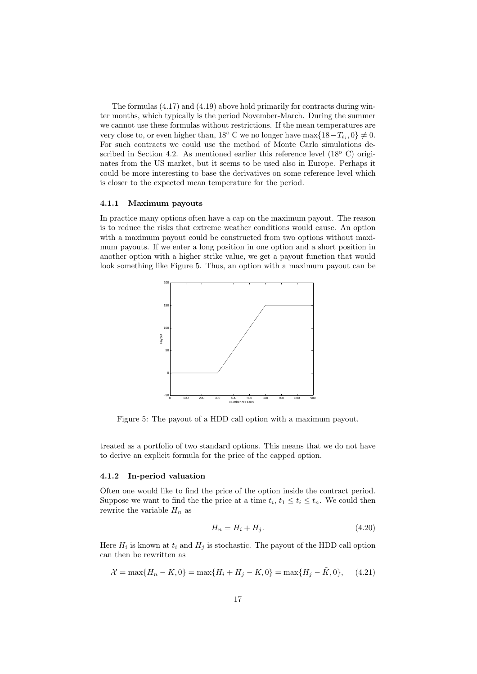The formulas (4.17) and (4.19) above hold primarily for contracts during winter months, which typically is the period November-March. During the summer we cannot use these formulas without restrictions. If the mean temperatures are very close to, or even higher than, 18<sup>o</sup> C we no longer have  $\max\{18 - T_{t_i}, 0\} \neq 0$ . For such contracts we could use the method of Monte Carlo simulations described in Section 4.2. As mentioned earlier this reference level  $(18^{\circ} \text{ C})$  originates from the US market, but it seems to be used also in Europe. Perhaps it could be more interesting to base the derivatives on some reference level which is closer to the expected mean temperature for the period.

#### 4.1.1 Maximum payouts

In practice many options often have a cap on the maximum payout. The reason is to reduce the risks that extreme weather conditions would cause. An option with a maximum payout could be constructed from two options without maximum payouts. If we enter a long position in one option and a short position in another option with a higher strike value, we get a payout function that would look something like Figure 5. Thus, an option with a maximum payout can be



Figure 5: The payout of a HDD call option with a maximum payout.

treated as a portfolio of two standard options. This means that we do not have to derive an explicit formula for the price of the capped option.

### 4.1.2 In-period valuation

Often one would like to find the price of the option inside the contract period. Suppose we want to find the the price at a time  $t_i, t_1 \leq t_i \leq t_n$ . We could then rewrite the variable  $H_n$  as

$$
H_n = H_i + H_j. \tag{4.20}
$$

Here  $H_i$  is known at  $t_i$  and  $H_j$  is stochastic. The payout of the HDD call option can then be rewritten as

$$
\mathcal{X} = \max\{H_n - K, 0\} = \max\{H_i + H_j - K, 0\} = \max\{H_j - \tilde{K}, 0\}, \quad (4.21)
$$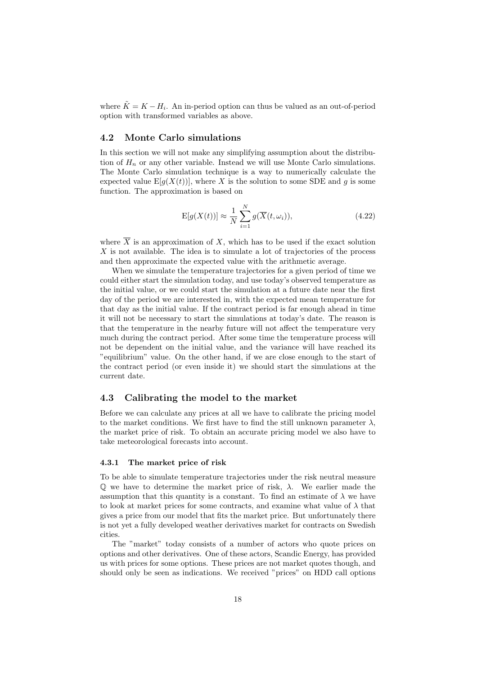where  $\tilde{K} = K - H_i$ . An in-period option can thus be valued as an out-of-period option with transformed variables as above.

#### 4.2 Monte Carlo simulations

In this section we will not make any simplifying assumption about the distribution of  $H_n$  or any other variable. Instead we will use Monte Carlo simulations. The Monte Carlo simulation technique is a way to numerically calculate the expected value  $E[q(X(t))]$ , where X is the solution to some SDE and q is some function. The approximation is based on

$$
\mathcal{E}[g(X(t))] \approx \frac{1}{N} \sum_{i=1}^{N} g(\overline{X}(t,\omega_i)),
$$
\n(4.22)

where  $\overline{X}$  is an approximation of X, which has to be used if the exact solution  $X$  is not available. The idea is to simulate a lot of trajectories of the process and then approximate the expected value with the arithmetic average.

When we simulate the temperature trajectories for a given period of time we could either start the simulation today, and use today's observed temperature as the initial value, or we could start the simulation at a future date near the first day of the period we are interested in, with the expected mean temperature for that day as the initial value. If the contract period is far enough ahead in time it will not be necessary to start the simulations at today's date. The reason is that the temperature in the nearby future will not affect the temperature very much during the contract period. After some time the temperature process will not be dependent on the initial value, and the variance will have reached its "equilibrium" value. On the other hand, if we are close enough to the start of the contract period (or even inside it) we should start the simulations at the current date.

### 4.3 Calibrating the model to the market

Before we can calculate any prices at all we have to calibrate the pricing model to the market conditions. We first have to find the still unknown parameter  $\lambda$ , the market price of risk. To obtain an accurate pricing model we also have to take meteorological forecasts into account.

#### 4.3.1 The market price of risk

To be able to simulate temperature trajectories under the risk neutral measure  $\mathbb Q$  we have to determine the market price of risk,  $\lambda$ . We earlier made the assumption that this quantity is a constant. To find an estimate of  $\lambda$  we have to look at market prices for some contracts, and examine what value of  $\lambda$  that gives a price from our model that fits the market price. But unfortunately there is not yet a fully developed weather derivatives market for contracts on Swedish cities.

The "market" today consists of a number of actors who quote prices on options and other derivatives. One of these actors, Scandic Energy, has provided us with prices for some options. These prices are not market quotes though, and should only be seen as indications. We received "prices" on HDD call options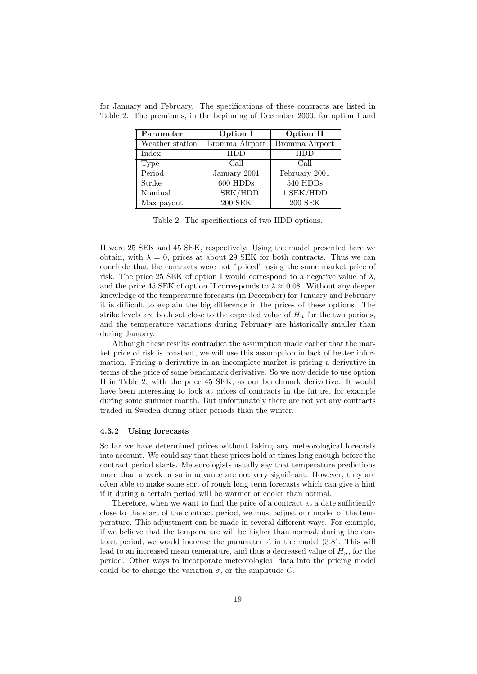| Parameter       | Option I       | Option II      |  |
|-----------------|----------------|----------------|--|
| Weather station | Bromma Airport | Bromma Airport |  |
| Index           | <b>HDD</b>     | <b>HDD</b>     |  |
| Type            | Call           | Call           |  |
| Period          | January 2001   | February 2001  |  |
| Strike          | $600$ HDDs     | $540$ HDDs     |  |
| Nominal         | 1 SEK/HDD      | 1 SEK/HDD      |  |
| Max payout      | <b>200 SEK</b> | <b>200 SEK</b> |  |

for January and February. The specifications of these contracts are listed in Table 2. The premiums, in the beginning of December 2000, for option I and

Table 2: The specifications of two HDD options.

II were 25 SEK and 45 SEK, respectively. Using the model presented here we obtain, with  $\lambda = 0$ , prices at about 29 SEK for both contracts. Thus we can conclude that the contracts were not "priced" using the same market price of risk. The price 25 SEK of option I would correspond to a negative value of  $\lambda$ , and the price 45 SEK of option II corresponds to  $\lambda \approx 0.08$ . Without any deeper knowledge of the temperature forecasts (in December) for January and February it is difficult to explain the big difference in the prices of these options. The strike levels are both set close to the expected value of  $H_n$  for the two periods, and the temperature variations during February are historically smaller than during January.

Although these results contradict the assumption made earlier that the market price of risk is constant, we will use this assumption in lack of better information. Pricing a derivative in an incomplete market is pricing a derivative in terms of the price of some benchmark derivative. So we now decide to use option II in Table 2, with the price 45 SEK, as our benchmark derivative. It would have been interesting to look at prices of contracts in the future, for example during some summer month. But unfortunately there are not yet any contracts traded in Sweden during other periods than the winter.

#### 4.3.2 Using forecasts

So far we have determined prices without taking any meteorological forecasts into account. We could say that these prices hold at times long enough before the contract period starts. Meteorologists usually say that temperature predictions more than a week or so in advance are not very significant. However, they are often able to make some sort of rough long term forecasts which can give a hint if it during a certain period will be warmer or cooler than normal.

Therefore, when we want to find the price of a contract at a date sufficiently close to the start of the contract period, we must adjust our model of the temperature. This adjustment can be made in several different ways. For example, if we believe that the temperature will be higher than normal, during the contract period, we would increase the parameter  $A$  in the model  $(3.8)$ . This will lead to an increased mean temerature, and thus a decreased value of  $H_n$ , for the period. Other ways to incorporate meteorological data into the pricing model could be to change the variation  $\sigma$ , or the amplitude C.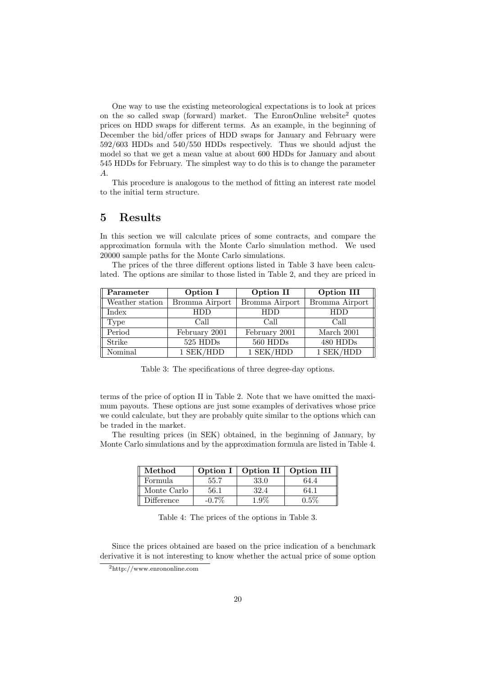One way to use the existing meteorological expectations is to look at prices on the so called swap (forward) market. The EnronOnline website<sup>2</sup> quotes prices on HDD swaps for different terms. As an example, in the beginning of December the bid/offer prices of HDD swaps for January and February were 592/603 HDDs and 540/550 HDDs respectively. Thus we should adjust the model so that we get a mean value at about 600 HDDs for January and about 545 HDDs for February. The simplest way to do this is to change the parameter A.

This procedure is analogous to the method of fitting an interest rate model to the initial term structure.

# 5 Results

In this section we will calculate prices of some contracts, and compare the approximation formula with the Monte Carlo simulation method. We used 20000 sample paths for the Monte Carlo simulations.

The prices of the three different options listed in Table 3 have been calculated. The options are similar to those listed in Table 2, and they are priced in

| Parameter       | Option I       | Option II      | Option III     |
|-----------------|----------------|----------------|----------------|
| Weather station | Bromma Airport | Bromma Airport | Bromma Airport |
| Index           | <b>HDD</b>     | <b>HDD</b>     | <b>HDD</b>     |
| Type            | Call           | Call           | Call           |
| Period          | February 2001  | February 2001  | March 2001     |
| Strike          | $525$ HDDs     | $560$ HDDs     | 480 HDDs       |
| Nominal         | $1$ SEK/HDD    | $1$ SEK/HDD    | 1 SEK/HDD      |

Table 3: The specifications of three degree-day options.

terms of the price of option II in Table 2. Note that we have omitted the maximum payouts. These options are just some examples of derivatives whose price we could calculate, but they are probably quite similar to the options which can be traded in the market.

The resulting prices (in SEK) obtained, in the beginning of January, by Monte Carlo simulations and by the approximation formula are listed in Table 4.

| Method      | Option I |         | Option II   Option III |
|-------------|----------|---------|------------------------|
| Formula     | 55.7     | 33.0    | 64.4                   |
| Monte Carlo | 56.1     | 32.4    | 64.1                   |
| Difference  | $-0.7\%$ | $1.9\%$ | $0.5\%$                |

Table 4: The prices of the options in Table 3.

Since the prices obtained are based on the price indication of a benchmark derivative it is not interesting to know whether the actual price of some option

<sup>2</sup>http://www.enrononline.com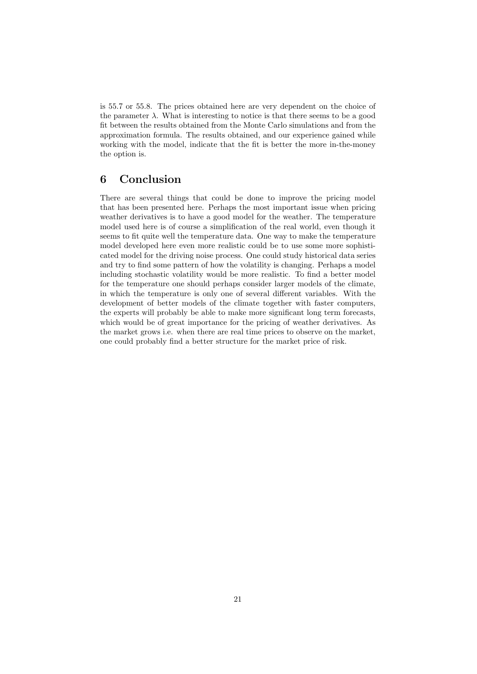is 55.7 or 55.8. The prices obtained here are very dependent on the choice of the parameter  $\lambda$ . What is interesting to notice is that there seems to be a good fit between the results obtained from the Monte Carlo simulations and from the approximation formula. The results obtained, and our experience gained while working with the model, indicate that the fit is better the more in-the-money the option is.

# 6 Conclusion

There are several things that could be done to improve the pricing model that has been presented here. Perhaps the most important issue when pricing weather derivatives is to have a good model for the weather. The temperature model used here is of course a simplification of the real world, even though it seems to fit quite well the temperature data. One way to make the temperature model developed here even more realistic could be to use some more sophisticated model for the driving noise process. One could study historical data series and try to find some pattern of how the volatility is changing. Perhaps a model including stochastic volatility would be more realistic. To find a better model for the temperature one should perhaps consider larger models of the climate, in which the temperature is only one of several different variables. With the development of better models of the climate together with faster computers, the experts will probably be able to make more significant long term forecasts, which would be of great importance for the pricing of weather derivatives. As the market grows i.e. when there are real time prices to observe on the market, one could probably find a better structure for the market price of risk.